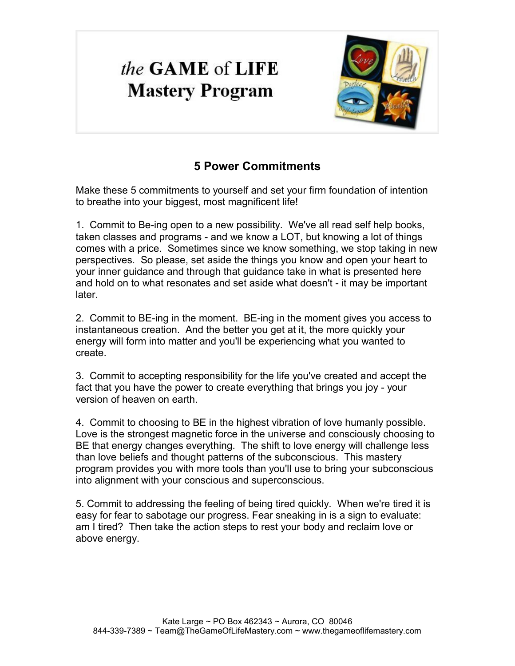# the **GAME** of **LIFE Mastery Program**



# **5 Power Commitments**

Make these 5 commitments to yourself and set your firm foundation of intention to breathe into your biggest, most magnificent life!

1. Commit to Be-ing open to a new possibility. We've all read self help books, taken classes and programs - and we know a LOT, but knowing a lot of things comes with a price. Sometimes since we know something, we stop taking in new perspectives. So please, set aside the things you know and open your heart to your inner guidance and through that guidance take in what is presented here and hold on to what resonates and set aside what doesn't - it may be important later.

2. Commit to BE-ing in the moment. BE-ing in the moment gives you access to instantaneous creation. And the better you get at it, the more quickly your energy will form into matter and you'll be experiencing what you wanted to create.

3. Commit to accepting responsibility for the life you've created and accept the fact that you have the power to create everything that brings you joy - your version of heaven on earth.

4. Commit to choosing to BE in the highest vibration of love humanly possible. Love is the strongest magnetic force in the universe and consciously choosing to BE that energy changes everything. The shift to love energy will challenge less than love beliefs and thought patterns of the subconscious. This mastery program provides you with more tools than you'll use to bring your subconscious into alignment with your conscious and superconscious.

5. Commit to addressing the feeling of being tired quickly. When we're tired it is easy for fear to sabotage our progress. Fear sneaking in is a sign to evaluate: am I tired? Then take the action steps to rest your body and reclaim love or above energy.